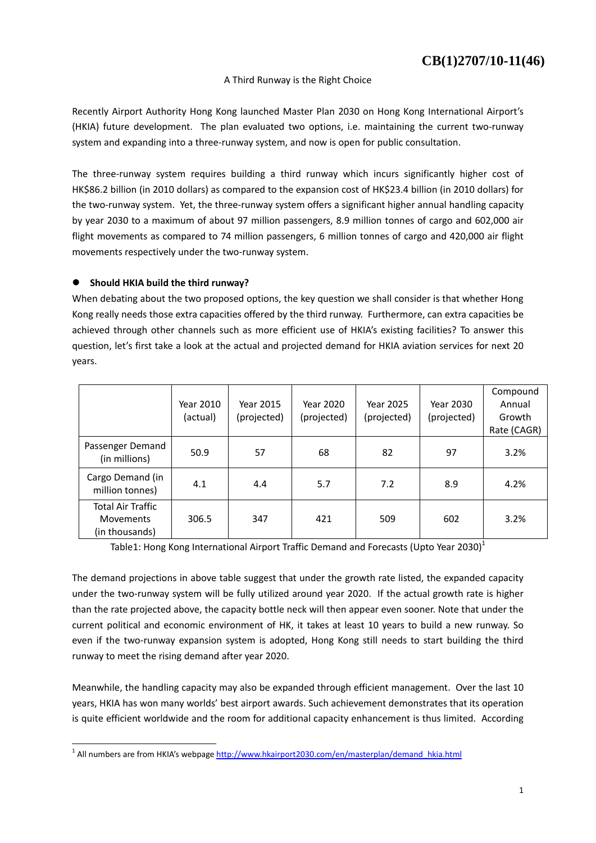### A Third Runway is the Right Choice

Recently Airport Authority Hong Kong launched Master Plan 2030 on Hong Kong International Airport's (HKIA) future development. The plan evaluated two options, i.e. maintaining the current two-runway system and expanding into a three-runway system, and now is open for public consultation.

The three-runway system requires building a third runway which incurs significantly higher cost of HK\$86.2 billion (in 2010 dollars) as compared to the expansion cost of HK\$23.4 billion (in 2010 dollars) for the two-runway system. Yet, the three-runway system offers a significant higher annual handling capacity by year 2030 to a maximum of about 97 million passengers, 8.9 million tonnes of cargo and 602,000 air flight movements as compared to 74 million passengers, 6 million tonnes of cargo and 420,000 air flight movements respectively under the two-runway system.

## **Should HKIA build the third runway?**

-

When debating about the two proposed options, the key question we shall consider is that whether Hong Kong really needs those extra capacities offered by the third runway. Furthermore, can extra capacities be achieved through other channels such as more efficient use of HKIA's existing facilities? To answer this question, let's first take a look at the actual and projected demand for HKIA aviation services for next 20 years.

|                                                                | Year 2010<br>(actual) | Year 2015<br>(projected) | Year 2020<br>(projected) | Year 2025<br>(projected) | Year 2030<br>(projected) | Compound<br>Annual<br>Growth<br>Rate (CAGR) |
|----------------------------------------------------------------|-----------------------|--------------------------|--------------------------|--------------------------|--------------------------|---------------------------------------------|
| Passenger Demand<br>(in millions)                              | 50.9                  | 57                       | 68                       | 82                       | 97                       | 3.2%                                        |
| Cargo Demand (in<br>million tonnes)                            | 4.1                   | 4.4                      | 5.7                      | 7.2                      | 8.9                      | 4.2%                                        |
| <b>Total Air Traffic</b><br><b>Movements</b><br>(in thousands) | 306.5                 | 347                      | 421                      | 509                      | 602                      | 3.2%                                        |

Table1: Hong Kong International Airport Traffic Demand and Forecasts (Upto Year 2030)<sup>1</sup>

The demand projections in above table suggest that under the growth rate listed, the expanded capacity under the two-runway system will be fully utilized around year 2020. If the actual growth rate is higher than the rate projected above, the capacity bottle neck will then appear even sooner. Note that under the current political and economic environment of HK, it takes at least 10 years to build a new runway. So even if the two-runway expansion system is adopted, Hong Kong still needs to start building the third runway to meet the rising demand after year 2020.

Meanwhile, the handling capacity may also be expanded through efficient management. Over the last 10 years, HKIA has won many worlds' best airport awards. Such achievement demonstrates that its operation is quite efficient worldwide and the room for additional capacity enhancement is thus limited. According

<sup>&</sup>lt;sup>1</sup> All numbers are from HKIA's webpage http://www.hkairport2030.com/en/masterplan/demand\_hkia.html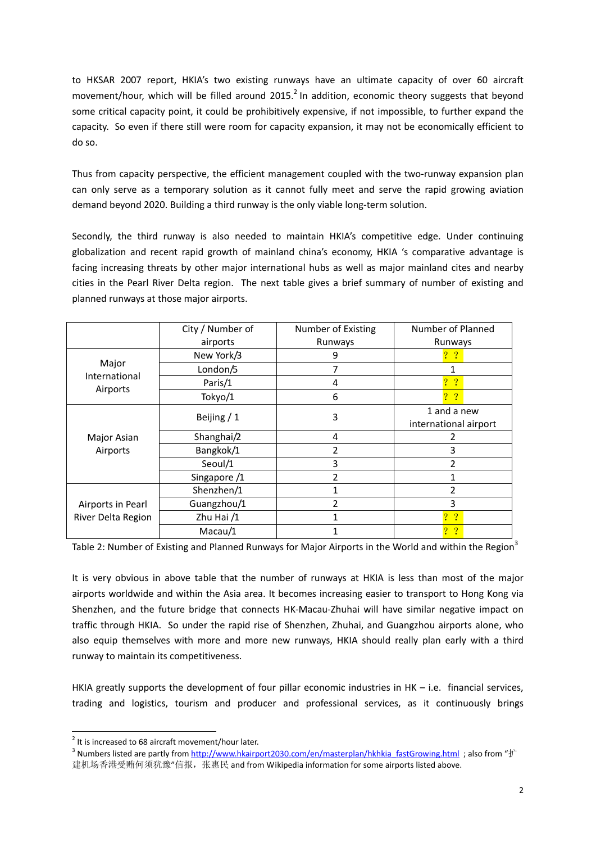to HKSAR 2007 report, HKIA's two existing runways have an ultimate capacity of over 60 aircraft movement/hour, which will be filled around 2015. $^2$  In addition, economic theory suggests that beyond some critical capacity point, it could be prohibitively expensive, if not impossible, to further expand the capacity. So even if there still were room for capacity expansion, it may not be economically efficient to do so.

Thus from capacity perspective, the efficient management coupled with the two-runway expansion plan can only serve as a temporary solution as it cannot fully meet and serve the rapid growing aviation demand beyond 2020. Building a third runway is the only viable long-term solution.

Secondly, the third runway is also needed to maintain HKIA's competitive edge. Under continuing globalization and recent rapid growth of mainland china's economy, HKIA 's comparative advantage is facing increasing threats by other major international hubs as well as major mainland cites and nearby cities in the Pearl River Delta region. The next table gives a brief summary of number of existing and planned runways at those major airports.

|                                    | City / Number of | Number of Existing | Number of Planned               |  |
|------------------------------------|------------------|--------------------|---------------------------------|--|
|                                    | airports         | Runways            | Runways                         |  |
| Major<br>International<br>Airports | New York/3       | 9                  | $?$ ?                           |  |
|                                    | London/5         | 7                  | 1                               |  |
|                                    | Paris/1          | 4                  | $?$ ?                           |  |
|                                    | Tokyo/1          | 6                  | 2 <sub>2</sub>                  |  |
| Major Asian<br>Airports            |                  |                    | 1 and a new                     |  |
|                                    | Beijing / 1      | 3                  | international airport           |  |
|                                    | Shanghai/2       | 4                  |                                 |  |
|                                    | Bangkok/1        | 2                  | 3                               |  |
|                                    | Seoul/1          | 3                  | $\mathfrak{p}$                  |  |
|                                    | Singapore /1     | 2                  | 1                               |  |
|                                    | Shenzhen/1       |                    | $\overline{2}$                  |  |
| Airports in Pearl                  | Guangzhou/1      | $\overline{2}$     | 3                               |  |
| River Delta Region                 | Zhu Hai $/1$     |                    | $?$ ?                           |  |
|                                    | Macau/1          |                    | $\cdot$ ?<br>$\overline{\cdot}$ |  |

Table 2: Number of Existing and Planned Runways for Major Airports in the World and within the Region<sup>3</sup>

It is very obvious in above table that the number of runways at HKIA is less than most of the major airports worldwide and within the Asia area. It becomes increasing easier to transport to Hong Kong via Shenzhen, and the future bridge that connects HK-Macau-Zhuhai will have similar negative impact on traffic through HKIA. So under the rapid rise of Shenzhen, Zhuhai, and Guangzhou airports alone, who also equip themselves with more and more new runways, HKIA should really plan early with a third runway to maintain its competitiveness.

HKIA greatly supports the development of four pillar economic industries in HK – i.e. financial services, trading and logistics, tourism and producer and professional services, as it continuously brings

 2 It is increased to 68 aircraft movement/hour later.

<sup>&</sup>lt;sup>3</sup> Numbers listed are partly from <u>http://www.hkairport2030.com/en/masterplan/hkhkia\_fastGrowing.html</u> ; also from "扩 建机场香港受贿何须犹豫"信报,张惠民 and from Wikipedia information for some airports listed above.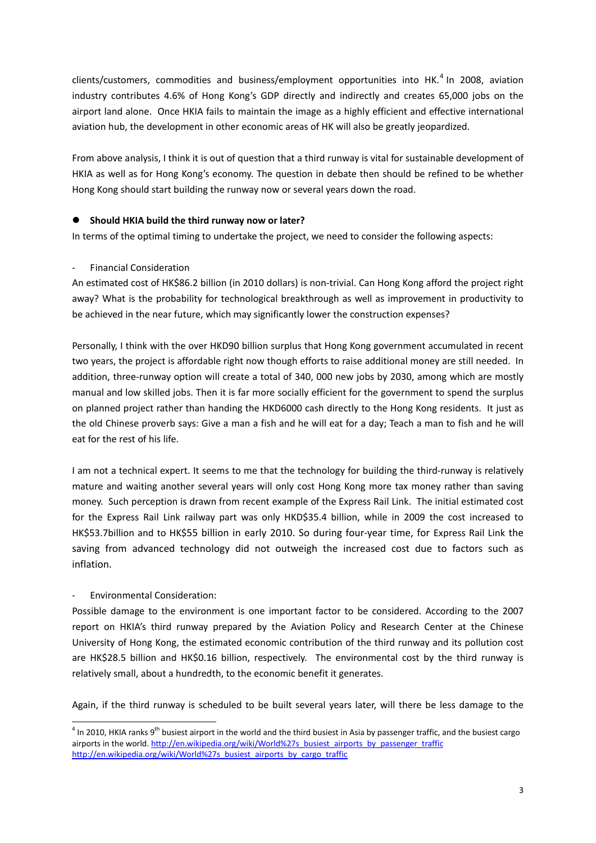clients/customers, commodities and business/employment opportunities into HK.<sup>4</sup> In 2008, aviation industry contributes 4.6% of Hong Kong's GDP directly and indirectly and creates 65,000 jobs on the airport land alone. Once HKIA fails to maintain the image as a highly efficient and effective international aviation hub, the development in other economic areas of HK will also be greatly jeopardized.

From above analysis, I think it is out of question that a third runway is vital for sustainable development of HKIA as well as for Hong Kong's economy. The question in debate then should be refined to be whether Hong Kong should start building the runway now or several years down the road.

## **Should HKIA build the third runway now or later?**

In terms of the optimal timing to undertake the project, we need to consider the following aspects:

# - Financial Consideration

An estimated cost of HK\$86.2 billion (in 2010 dollars) is non-trivial. Can Hong Kong afford the project right away? What is the probability for technological breakthrough as well as improvement in productivity to be achieved in the near future, which may significantly lower the construction expenses?

Personally, I think with the over HKD90 billion surplus that Hong Kong government accumulated in recent two years, the project is affordable right now though efforts to raise additional money are still needed. In addition, three-runway option will create a total of 340, 000 new jobs by 2030, among which are mostly manual and low skilled jobs. Then it is far more socially efficient for the government to spend the surplus on planned project rather than handing the HKD6000 cash directly to the Hong Kong residents. It just as the old Chinese proverb says: Give a man a fish and he will eat for a day; Teach a man to fish and he will eat for the rest of his life.

I am not a technical expert. It seems to me that the technology for building the third-runway is relatively mature and waiting another several years will only cost Hong Kong more tax money rather than saving money. Such perception is drawn from recent example of the Express Rail Link. The initial estimated cost for the Express Rail Link railway part was only HKD\$35.4 billion, while in 2009 the cost increased to HK\$53.7billion and to HK\$55 billion in early 2010. So during four-year time, for Express Rail Link the saving from advanced technology did not outweigh the increased cost due to factors such as inflation.

# - Environmental Consideration:

-

Possible damage to the environment is one important factor to be considered. According to the 2007 report on HKIA's third runway prepared by the Aviation Policy and Research Center at the Chinese University of Hong Kong, the estimated economic contribution of the third runway and its pollution cost are HK\$28.5 billion and HK\$0.16 billion, respectively. The environmental cost by the third runway is relatively small, about a hundredth, to the economic benefit it generates.

Again, if the third runway is scheduled to be built several years later, will there be less damage to the

 $^4$  In 2010, HKIA ranks 9<sup>th</sup> busiest airport in the world and the third busiest in Asia by passenger traffic, and the busiest cargo airports in the world. http://en.wikipedia.org/wiki/World%27s\_busiest\_airports\_by\_passenger\_traffic http://en.wikipedia.org/wiki/World%27s\_busiest\_airports\_by\_cargo\_traffic